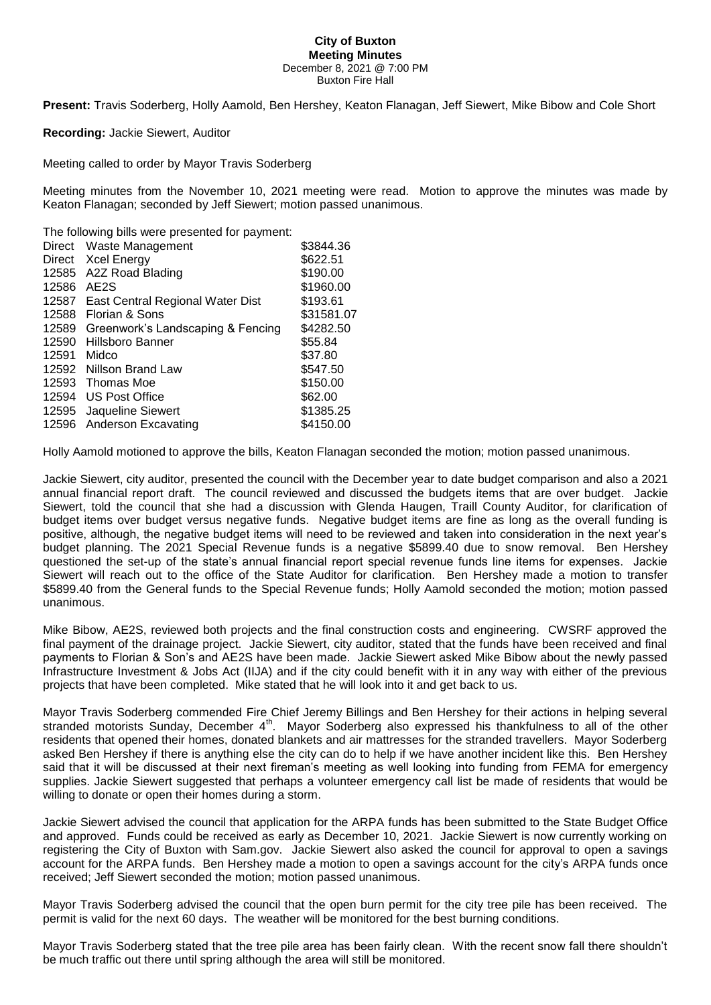## **City of Buxton Meeting Minutes** December 8, 2021 @ 7:00 PM Buxton Fire Hall

**Present:** Travis Soderberg, Holly Aamold, Ben Hershey, Keaton Flanagan, Jeff Siewert, Mike Bibow and Cole Short

**Recording:** Jackie Siewert, Auditor

Meeting called to order by Mayor Travis Soderberg

Meeting minutes from the November 10, 2021 meeting were read. Motion to approve the minutes was made by Keaton Flanagan; seconded by Jeff Siewert; motion passed unanimous.

The following bills were presented for payment:

|        | Direct Waste Management           | \$3844.36  |
|--------|-----------------------------------|------------|
| Direct | Xcel Energy                       | \$622.51   |
| 12585  | A2Z Road Blading                  | \$190.00   |
| 12586  | AE <sub>2</sub> S                 | \$1960.00  |
| 12587  | East Central Regional Water Dist  | \$193.61   |
| 12588  | Florian & Sons                    | \$31581.07 |
| 12589  | Greenwork's Landscaping & Fencing | \$4282.50  |
| 12590  | Hillsboro Banner                  | \$55.84    |
| 12591  | Midco                             | \$37.80    |
| 12592  | Nillson Brand Law                 | \$547.50   |
| 12593  | Thomas Moe                        | \$150.00   |
| 12594  | US Post Office                    | \$62.00    |
| 12595  | Jaqueline Siewert                 | \$1385.25  |
|        | 12596 Anderson Excavating         | \$4150.00  |

Holly Aamold motioned to approve the bills, Keaton Flanagan seconded the motion; motion passed unanimous.

Jackie Siewert, city auditor, presented the council with the December year to date budget comparison and also a 2021 annual financial report draft. The council reviewed and discussed the budgets items that are over budget. Jackie Siewert, told the council that she had a discussion with Glenda Haugen, Traill County Auditor, for clarification of budget items over budget versus negative funds. Negative budget items are fine as long as the overall funding is positive, although, the negative budget items will need to be reviewed and taken into consideration in the next year's budget planning. The 2021 Special Revenue funds is a negative \$5899.40 due to snow removal. Ben Hershey questioned the set-up of the state's annual financial report special revenue funds line items for expenses. Jackie Siewert will reach out to the office of the State Auditor for clarification. Ben Hershey made a motion to transfer \$5899.40 from the General funds to the Special Revenue funds; Holly Aamold seconded the motion; motion passed unanimous.

Mike Bibow, AE2S, reviewed both projects and the final construction costs and engineering. CWSRF approved the final payment of the drainage project. Jackie Siewert, city auditor, stated that the funds have been received and final payments to Florian & Son's and AE2S have been made. Jackie Siewert asked Mike Bibow about the newly passed Infrastructure Investment & Jobs Act (IIJA) and if the city could benefit with it in any way with either of the previous projects that have been completed. Mike stated that he will look into it and get back to us.

Mayor Travis Soderberg commended Fire Chief Jeremy Billings and Ben Hershey for their actions in helping several stranded motorists Sunday, December 4<sup>th</sup>. Mayor Soderberg also expressed his thankfulness to all of the other residents that opened their homes, donated blankets and air mattresses for the stranded travellers. Mayor Soderberg asked Ben Hershey if there is anything else the city can do to help if we have another incident like this. Ben Hershey said that it will be discussed at their next fireman's meeting as well looking into funding from FEMA for emergency supplies. Jackie Siewert suggested that perhaps a volunteer emergency call list be made of residents that would be willing to donate or open their homes during a storm.

Jackie Siewert advised the council that application for the ARPA funds has been submitted to the State Budget Office and approved. Funds could be received as early as December 10, 2021. Jackie Siewert is now currently working on registering the City of Buxton with Sam.gov. Jackie Siewert also asked the council for approval to open a savings account for the ARPA funds. Ben Hershey made a motion to open a savings account for the city's ARPA funds once received; Jeff Siewert seconded the motion; motion passed unanimous.

Mayor Travis Soderberg advised the council that the open burn permit for the city tree pile has been received. The permit is valid for the next 60 days. The weather will be monitored for the best burning conditions.

Mayor Travis Soderberg stated that the tree pile area has been fairly clean. With the recent snow fall there shouldn't be much traffic out there until spring although the area will still be monitored.